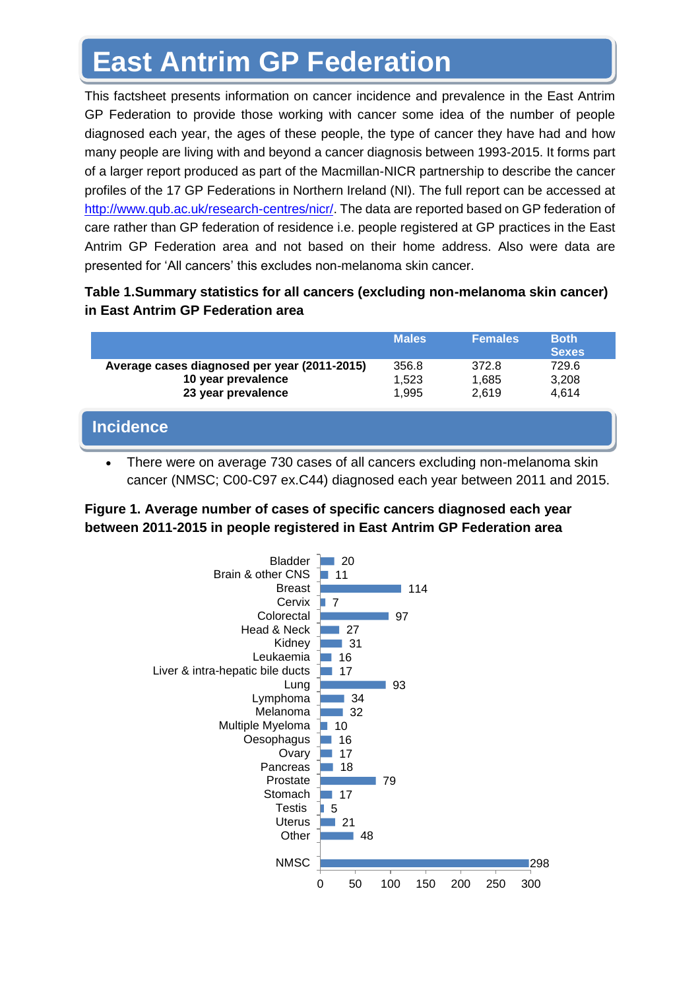# **East Antrim GP Federation**

This factsheet presents information on cancer incidence and prevalence in the East Antrim GP Federation to provide those working with cancer some idea of the number of people diagnosed each year, the ages of these people, the type of cancer they have had and how many people are living with and beyond a cancer diagnosis between 1993-2015. It forms part of a larger report produced as part of the Macmillan-NICR partnership to describe the cancer profiles of the 17 GP Federations in Northern Ireland (NI). The full report can be accessed at [http://www.qub.ac.uk/research-centres/nicr/.](http://www.qub.ac.uk/research-centres/nicr/) The data are reported based on GP federation of care rather than GP federation of residence i.e. people registered at GP practices in the East Antrim GP Federation area and not based on their home address. Also were data are presented for 'All cancers' this excludes non-melanoma skin cancer.

## **Table 1.Summary statistics for all cancers (excluding non-melanoma skin cancer) in East Antrim GP Federation area**

|                                                                                          | <b>Males</b>            | <b>Females</b>          | <b>Both</b><br><b>Sexes</b> |
|------------------------------------------------------------------------------------------|-------------------------|-------------------------|-----------------------------|
| Average cases diagnosed per year (2011-2015)<br>10 year prevalence<br>23 year prevalence | 356.8<br>1,523<br>1.995 | 372.8<br>1,685<br>2.619 | 729.6<br>3,208<br>4,614     |
| <b>Incidence</b>                                                                         |                         |                         |                             |

• There were on average 730 cases of all cancers excluding non-melanoma skin cancer (NMSC; C00-C97 ex.C44) diagnosed each year between 2011 and 2015.

## **Figure 1. Average number of cases of specific cancers diagnosed each year between 2011-2015 in people registered in East Antrim GP Federation area**

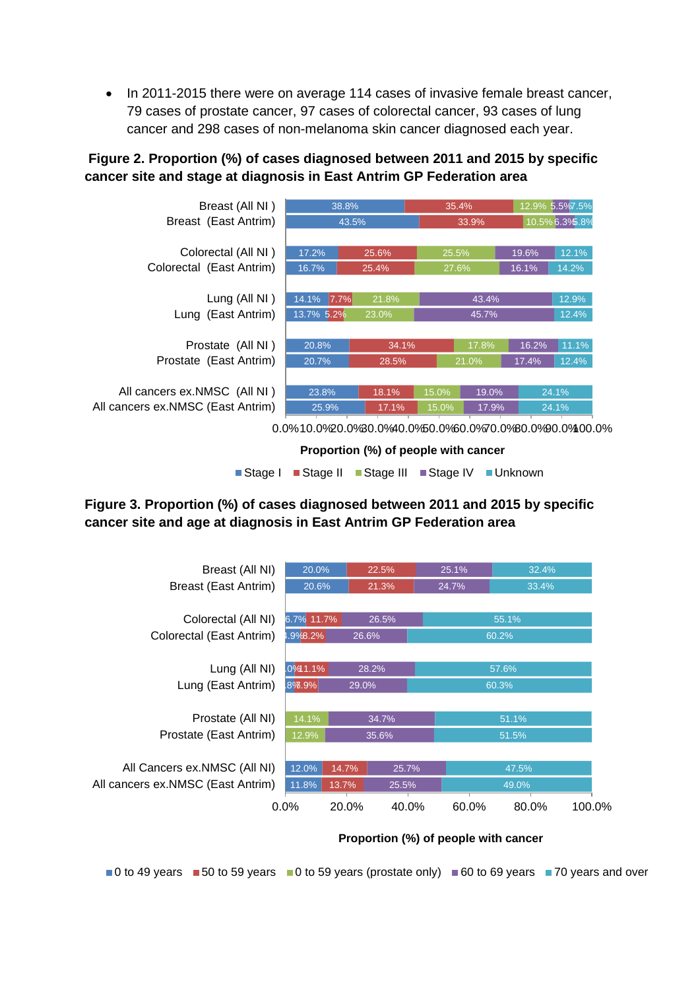• In 2011-2015 there were on average 114 cases of invasive female breast cancer, 79 cases of prostate cancer, 97 cases of colorectal cancer, 93 cases of lung cancer and 298 cases of non-melanoma skin cancer diagnosed each year.

## **Figure 2. Proportion (%) of cases diagnosed between 2011 and 2015 by specific cancer site and stage at diagnosis in East Antrim GP Federation area**



**Proportion (%) of people with cancer** 

■Stage I ■Stage II ■Stage III ■Stage IV ■Unknown

### **Figure 3. Proportion (%) of cases diagnosed between 2011 and 2015 by specific cancer site and age at diagnosis in East Antrim GP Federation area**



#### **Proportion (%) of people with cancer**

 $\Box$  0 to 49 years  $\Box$  50 to 59 years  $\Box$  0 to 59 years (prostate only)  $\Box$  60 to 69 years  $\Box$  70 years and over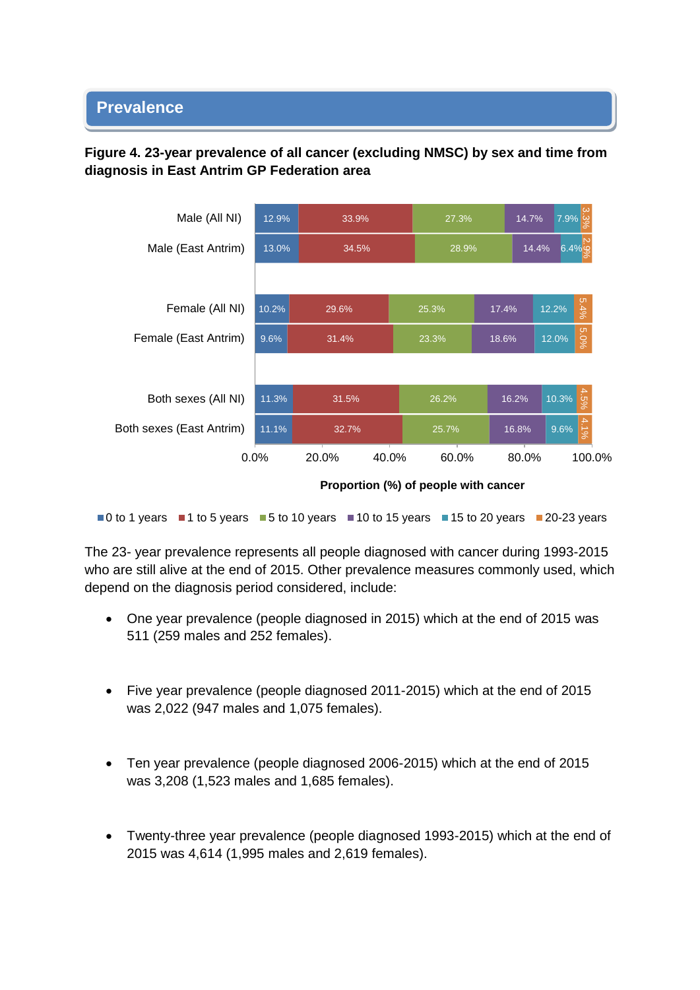#### • **Prevalence**

## **Figure 4. 23-year prevalence of all cancer (excluding NMSC) by sex and time from diagnosis in East Antrim GP Federation area**



**Proportion (%) of people with cancer**

 $\blacksquare$ 0 to 1 years  $\blacksquare$  1 to 5 years  $\blacksquare$  5 to 10 years  $\blacksquare$  10 to 15 years  $\blacksquare$  15 to 20 years  $\blacksquare$  20-23 years

The 23- year prevalence represents all people diagnosed with cancer during 1993-2015 who are still alive at the end of 2015. Other prevalence measures commonly used, which depend on the diagnosis period considered, include:

- One year prevalence (people diagnosed in 2015) which at the end of 2015 was 511 (259 males and 252 females).
- Five year prevalence (people diagnosed 2011-2015) which at the end of 2015 was 2,022 (947 males and 1,075 females).
- Ten year prevalence (people diagnosed 2006-2015) which at the end of 2015 was 3,208 (1,523 males and 1,685 females).
- Twenty-three year prevalence (people diagnosed 1993-2015) which at the end of 2015 was 4,614 (1,995 males and 2,619 females).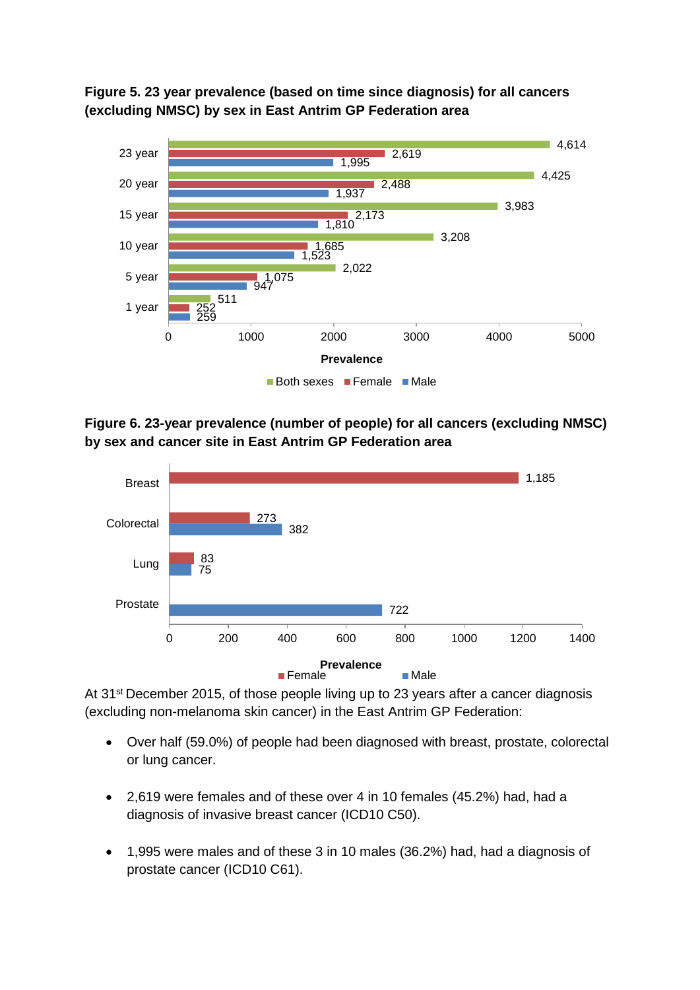



**Figure 6. 23-year prevalence (number of people) for all cancers (excluding NMSC) by sex and cancer site in East Antrim GP Federation area**



At 31<sup>st</sup> December 2015, of those people living up to 23 years after a cancer diagnosis (excluding non-melanoma skin cancer) in the East Antrim GP Federation:

- Over half (59.0%) of people had been diagnosed with breast, prostate, colorectal or lung cancer.
- 2,619 were females and of these over 4 in 10 females (45.2%) had, had a diagnosis of invasive breast cancer (ICD10 C50).
- 1,995 were males and of these 3 in 10 males (36.2%) had, had a diagnosis of prostate cancer (ICD10 C61).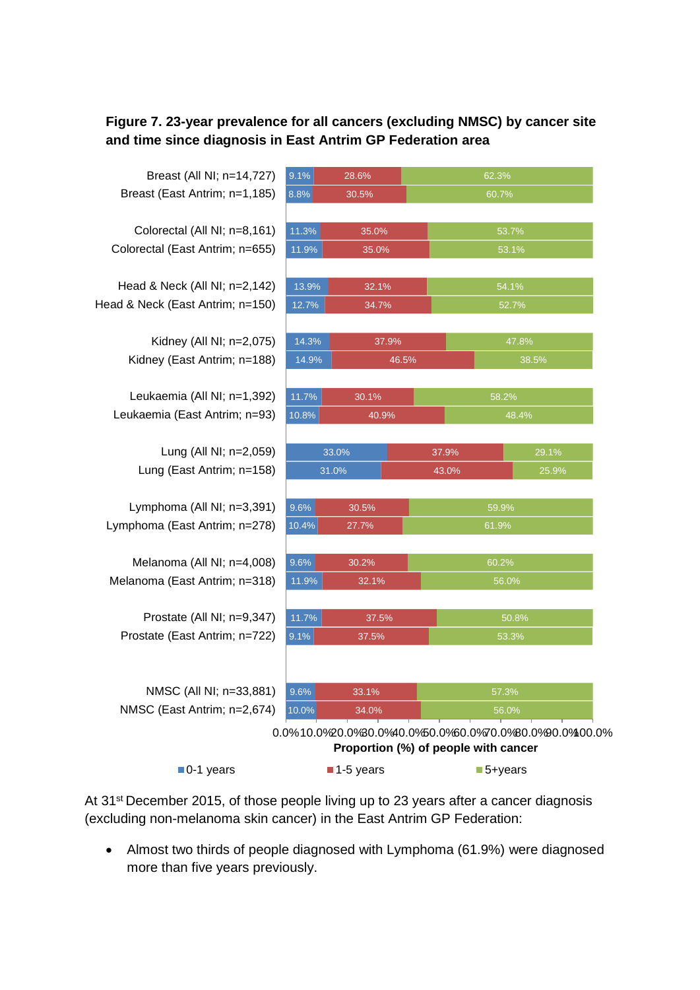## **Figure 7. 23-year prevalence for all cancers (excluding NMSC) by cancer site and time since diagnosis in East Antrim GP Federation area**

Breast (East Antrim; n=1,185) Breast (All NI; n=14,727)

Colorectal (East Antrim; n=655) Colorectal (All NI; n=8,161)

Head & Neck (East Antrim; n=150) Head & Neck (All NI; n=2,142)

> Kidney (East Antrim; n=188) Kidney (All NI; n=2,075)

Leukaemia (East Antrim; n=93) Leukaemia (All NI; n=1,392)

> Lung (East Antrim; n=158) Lung (All NI; n=2,059)

Lymphoma (East Antrim; n=278) Lymphoma (All NI; n=3,391)

Melanoma (East Antrim; n=318) Melanoma (All NI; n=4,008)

Prostate (East Antrim; n=722) Prostate (All NI; n=9,347)

NMSC (East Antrim; n=2,674) NMSC (All NI; n=33,881)

| 9.1%           | 28.6%          |       | 62.3%          |       |  |
|----------------|----------------|-------|----------------|-------|--|
| 8.8%           | 30.5%          |       | 60.7%          |       |  |
| 11.3%          | 35.0%          |       | 53.7%          |       |  |
| 11.9%          | 35.0%          |       | 53.1%          |       |  |
|                |                |       |                |       |  |
| 13.9%<br>12.7% | 32.1%<br>34.7% |       | 54.1%<br>52.7% |       |  |
|                |                |       |                |       |  |
| 14.3%          | 37.9%          |       | 47.8%          |       |  |
| 14.9%          |                | 46.5% | 38.5%          |       |  |
| 11.7%          | 30.1%          |       | 58.2%          |       |  |
| 10.8%          | 40.9%          |       | 48.4%          |       |  |
|                | 33.0%          | 37.9% |                | 29.1% |  |
| 31.0%          |                | 43.0% |                | 25.9% |  |
| 9.6%           | 30.5%          |       |                |       |  |
| 10.4%          | 27.7%          |       | 59.9%<br>61.9% |       |  |
|                |                |       |                |       |  |
| 9.6%           | 30.2%          |       | 60.2%          |       |  |
| 11.9%          | 32.1%          |       | 56.0%          |       |  |
| 11.7%          | 37.5%          |       | 50.8%          |       |  |
| 9.1%           | 37.5%          |       | 53.3%          |       |  |
|                |                |       |                |       |  |
| 9.6%           | 33.1%          |       | 57.3%          |       |  |
|                |                |       |                |       |  |

0.0%10.0%20.0%30.0%40.0%50.0%60.0%70.0%80.0%90.0%100.0% **Proportion (%) of people with cancer**

| $\blacksquare$ 0-1 years | $\blacksquare$ 1-5 years | $\blacksquare$ 5+years |
|--------------------------|--------------------------|------------------------|
|--------------------------|--------------------------|------------------------|

At 31<sup>st</sup> December 2015, of those people living up to 23 years after a cancer diagnosis (excluding non-melanoma skin cancer) in the East Antrim GP Federation:

• Almost two thirds of people diagnosed with Lymphoma (61.9%) were diagnosed more than five years previously.